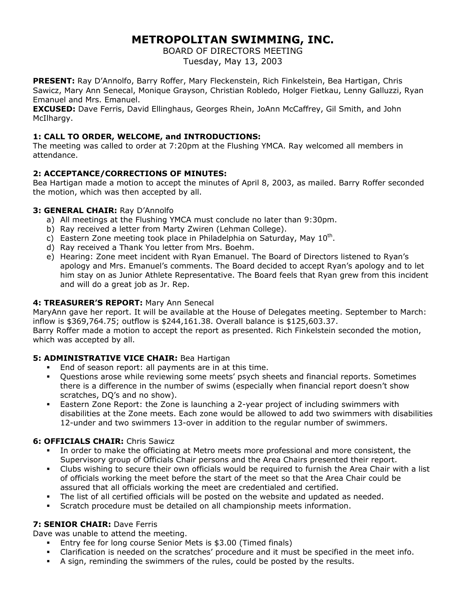# **METROPOLITAN SWIMMING, INC.**

BOARD OF DIRECTORS MEETING Tuesday, May 13, 2003

**PRESENT:** Ray D'Annolfo, Barry Roffer, Mary Fleckenstein, Rich Finkelstein, Bea Hartigan, Chris Sawicz, Mary Ann Senecal, Monique Grayson, Christian Robledo, Holger Fietkau, Lenny Galluzzi, Ryan Emanuel and Mrs. Emanuel.

**EXCUSED:** Dave Ferris, David Ellinghaus, Georges Rhein, JoAnn McCaffrey, Gil Smith, and John McIlhargy.

## **1: CALL TO ORDER, WELCOME, and INTRODUCTIONS:**

The meeting was called to order at 7:20pm at the Flushing YMCA. Ray welcomed all members in attendance.

# **2: ACCEPTANCE/CORRECTIONS OF MINUTES:**

Bea Hartigan made a motion to accept the minutes of April 8, 2003, as mailed. Barry Roffer seconded the motion, which was then accepted by all.

## **3: GENERAL CHAIR:** Ray D'Annolfo

- a) All meetings at the Flushing YMCA must conclude no later than 9:30pm.
- b) Ray received a letter from Marty Zwiren (Lehman College).
- c) Eastern Zone meeting took place in Philadelphia on Saturday, May  $10^{th}$ .
- d) Ray received a Thank You letter from Mrs. Boehm.
- e) Hearing: Zone meet incident with Ryan Emanuel. The Board of Directors listened to Ryan's apology and Mrs. Emanuel's comments. The Board decided to accept Ryan's apology and to let him stay on as Junior Athlete Representative. The Board feels that Ryan grew from this incident and will do a great job as Jr. Rep.

## **4: TREASURER'S REPORT:** Mary Ann Senecal

MaryAnn gave her report. It will be available at the House of Delegates meeting. September to March: inflow is \$369,764.75; outflow is \$244,161.38. Overall balance is \$125,603.37.

Barry Roffer made a motion to accept the report as presented. Rich Finkelstein seconded the motion, which was accepted by all.

## **5: ADMINISTRATIVE VICE CHAIR:** Bea Hartigan

- End of season report: all payments are in at this time.
- Questions arose while reviewing some meets' psych sheets and financial reports. Sometimes there is a difference in the number of swims (especially when financial report doesn't show scratches, DQ's and no show).
- Eastern Zone Report: the Zone is launching a 2-year project of including swimmers with disabilities at the Zone meets. Each zone would be allowed to add two swimmers with disabilities 12-under and two swimmers 13-over in addition to the regular number of swimmers.

## **6: OFFICIALS CHAIR: Chris Sawicz**

- In order to make the officiating at Metro meets more professional and more consistent, the Supervisory group of Officials Chair persons and the Area Chairs presented their report.
- Clubs wishing to secure their own officials would be required to furnish the Area Chair with a list of officials working the meet before the start of the meet so that the Area Chair could be assured that all officials working the meet are credentialed and certified.
- The list of all certified officials will be posted on the website and updated as needed.
- Scratch procedure must be detailed on all championship meets information.

## **7: SENIOR CHAIR: Dave Ferris**

Dave was unable to attend the meeting.

- Entry fee for long course Senior Mets is \$3.00 (Timed finals)
- Clarification is needed on the scratches' procedure and it must be specified in the meet info.
- A sign, reminding the swimmers of the rules, could be posted by the results.